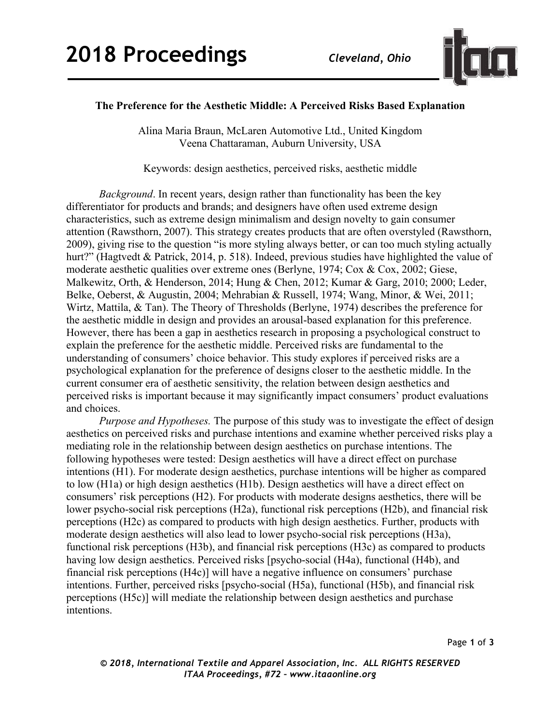

## **The Preference for the Aesthetic Middle: A Perceived Risks Based Explanation**

Alina Maria Braun, McLaren Automotive Ltd., United Kingdom Veena Chattaraman, Auburn University, USA

Keywords: design aesthetics, perceived risks, aesthetic middle

*Background*. In recent years, design rather than functionality has been the key differentiator for products and brands; and designers have often used extreme design characteristics, such as extreme design minimalism and design novelty to gain consumer attention (Rawsthorn, 2007). This strategy creates products that are often overstyled (Rawsthorn, 2009), giving rise to the question "is more styling always better, or can too much styling actually hurt?" (Hagtvedt & Patrick, 2014, p. 518). Indeed, previous studies have highlighted the value of moderate aesthetic qualities over extreme ones (Berlyne, 1974; Cox & Cox, 2002; Giese, Malkewitz, Orth, & Henderson, 2014; Hung & Chen, 2012; Kumar & Garg, 2010; 2000; Leder, Belke, Oeberst, & Augustin, 2004; Mehrabian & Russell, 1974; Wang, Minor, & Wei, 2011; Wirtz, Mattila, & Tan). The Theory of Thresholds (Berlyne, 1974) describes the preference for the aesthetic middle in design and provides an arousal-based explanation for this preference. However, there has been a gap in aesthetics research in proposing a psychological construct to explain the preference for the aesthetic middle. Perceived risks are fundamental to the understanding of consumers' choice behavior. This study explores if perceived risks are a psychological explanation for the preference of designs closer to the aesthetic middle. In the current consumer era of aesthetic sensitivity, the relation between design aesthetics and perceived risks is important because it may significantly impact consumers' product evaluations and choices.

*Purpose and Hypotheses.* The purpose of this study was to investigate the effect of design aesthetics on perceived risks and purchase intentions and examine whether perceived risks play a mediating role in the relationship between design aesthetics on purchase intentions. The following hypotheses were tested: Design aesthetics will have a direct effect on purchase intentions (H1). For moderate design aesthetics, purchase intentions will be higher as compared to low (H1a) or high design aesthetics (H1b). Design aesthetics will have a direct effect on consumers' risk perceptions (H2). For products with moderate designs aesthetics, there will be lower psycho-social risk perceptions (H2a), functional risk perceptions (H2b), and financial risk perceptions (H2c) as compared to products with high design aesthetics. Further, products with moderate design aesthetics will also lead to lower psycho-social risk perceptions (H3a), functional risk perceptions (H3b), and financial risk perceptions (H3c) as compared to products having low design aesthetics. Perceived risks [psycho-social (H4a), functional (H4b), and financial risk perceptions (H4c)] will have a negative influence on consumers' purchase intentions. Further, perceived risks [psycho-social (H5a), functional (H5b), and financial risk perceptions (H5c)] will mediate the relationship between design aesthetics and purchase intentions.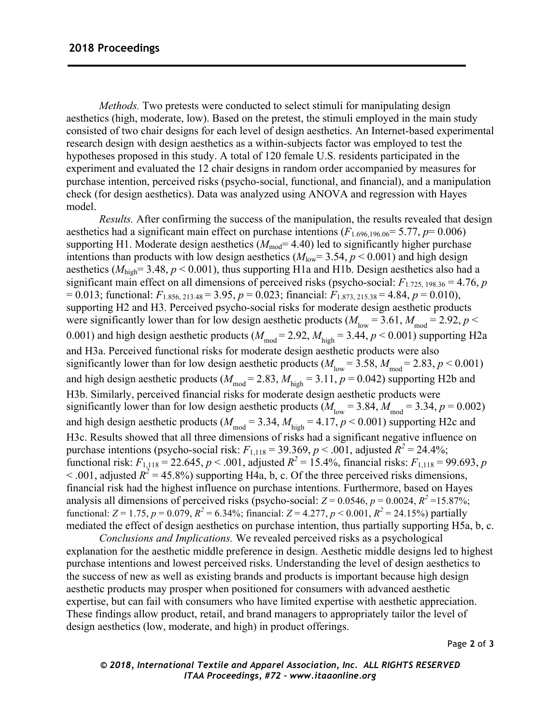*Methods.* Two pretests were conducted to select stimuli for manipulating design aesthetics (high, moderate, low). Based on the pretest, the stimuli employed in the main study consisted of two chair designs for each level of design aesthetics. An Internet-based experimental research design with design aesthetics as a within-subjects factor was employed to test the hypotheses proposed in this study. A total of 120 female U.S. residents participated in the experiment and evaluated the 12 chair designs in random order accompanied by measures for purchase intention, perceived risks (psycho-social, functional, and financial), and a manipulation check (for design aesthetics). Data was analyzed using ANOVA and regression with Hayes model.

*Results.* After confirming the success of the manipulation, the results revealed that design aesthetics had a significant main effect on purchase intentions  $(F_{1.696,196,06} = 5.77, p= 0.006)$ supporting H1. Moderate design aesthetics  $(M_{mod}= 4.40)$  led to significantly higher purchase intentions than products with low design aesthetics ( $M_{\text{low}}$ = 3.54,  $p$  < 0.001) and high design aesthetics ( $M_{\text{high}}$ = 3.48,  $p$  < 0.001), thus supporting H1a and H1b. Design aesthetics also had a significant main effect on all dimensions of perceived risks (psycho-social:  $F_{1.725, 198.36} = 4.76$ , *p*  $= 0.013$ ; functional:  $F_{1.856, 213.48} = 3.95, p = 0.023$ ; financial:  $F_{1.873, 215, 38} = 4.84, p = 0.010$ ), supporting H2 and H3. Perceived psycho-social risks for moderate design aesthetic products were significantly lower than for low design aesthetic products ( $M_{\text{low}} = 3.61$ ,  $M_{\text{mod}} = 2.92$ ,  $p <$ 0.001) and high design aesthetic products ( $M_{\text{mod}} = 2.92$ ,  $M_{\text{high}} = 3.44$ ,  $p < 0.001$ ) supporting H2a and H3a. Perceived functional risks for moderate design aesthetic products were also significantly lower than for low design aesthetic products ( $M_{\text{low}} = 3.58$ ,  $M_{\text{mod}} = 2.83$ ,  $p < 0.001$ ) and high design aesthetic products ( $M_{\text{mod}} = 2.83$ ,  $M_{\text{high}} = 3.11$ ,  $p = 0.042$ ) supporting H2b and H3b. Similarly, perceived financial risks for moderate design aesthetic products were significantly lower than for low design aesthetic products ( $M_{\text{low}} = 3.84$ ,  $M_{\text{mod}} = 3.34$ ,  $p = 0.002$ ) and high design aesthetic products ( $M_{\text{mod}} = 3.34$ ,  $M_{\text{high}} = 4.17$ ,  $p < 0.001$ ) supporting H2c and H3c. Results showed that all three dimensions of risks had a significant negative influence on purchase intentions (psycho-social risk:  $F_{1,118} = 39.369$ ,  $p < .001$ , adjusted  $R^2 = 24.4\%$ ; functional risk:  $F_{1,118} = 22.645$ ,  $p < .001$ , adjusted  $R^2 = 15.4\%$ , financial risks:  $F_{1,118} = 99.693$ , *p*  $<$  0.01, adjusted  $R^2$  = 45.8%) supporting H4a, b, c. Of the three perceived risks dimensions, financial risk had the highest influence on purchase intentions. Furthermore, based on Hayes analysis all dimensions of perceived risks (psycho-social:  $Z = 0.0546$ ,  $p = 0.0024$ ,  $R^2 = 15.87\%$ ; functional: *Z* = 1.75, *p* = 0.079,  $R^2$  = 6.34%; financial: *Z* = 4.277, *p* < 0.001,  $R^2$  = 24.15%) partially mediated the effect of design aesthetics on purchase intention, thus partially supporting H5a, b, c.

*Conclusions and Implications.* We revealed perceived risks as a psychological explanation for the aesthetic middle preference in design. Aesthetic middle designs led to highest purchase intentions and lowest perceived risks. Understanding the level of design aesthetics to the success of new as well as existing brands and products is important because high design aesthetic products may prosper when positioned for consumers with advanced aesthetic expertise, but can fail with consumers who have limited expertise with aesthetic appreciation. These findings allow product, retail, and brand managers to appropriately tailor the level of design aesthetics (low, moderate, and high) in product offerings.

Page **2** of **3**

*© 2018, International Textile and Apparel Association, Inc. ALL RIGHTS RESERVED ITAA Proceedings, #72 – www.itaaonline.org*